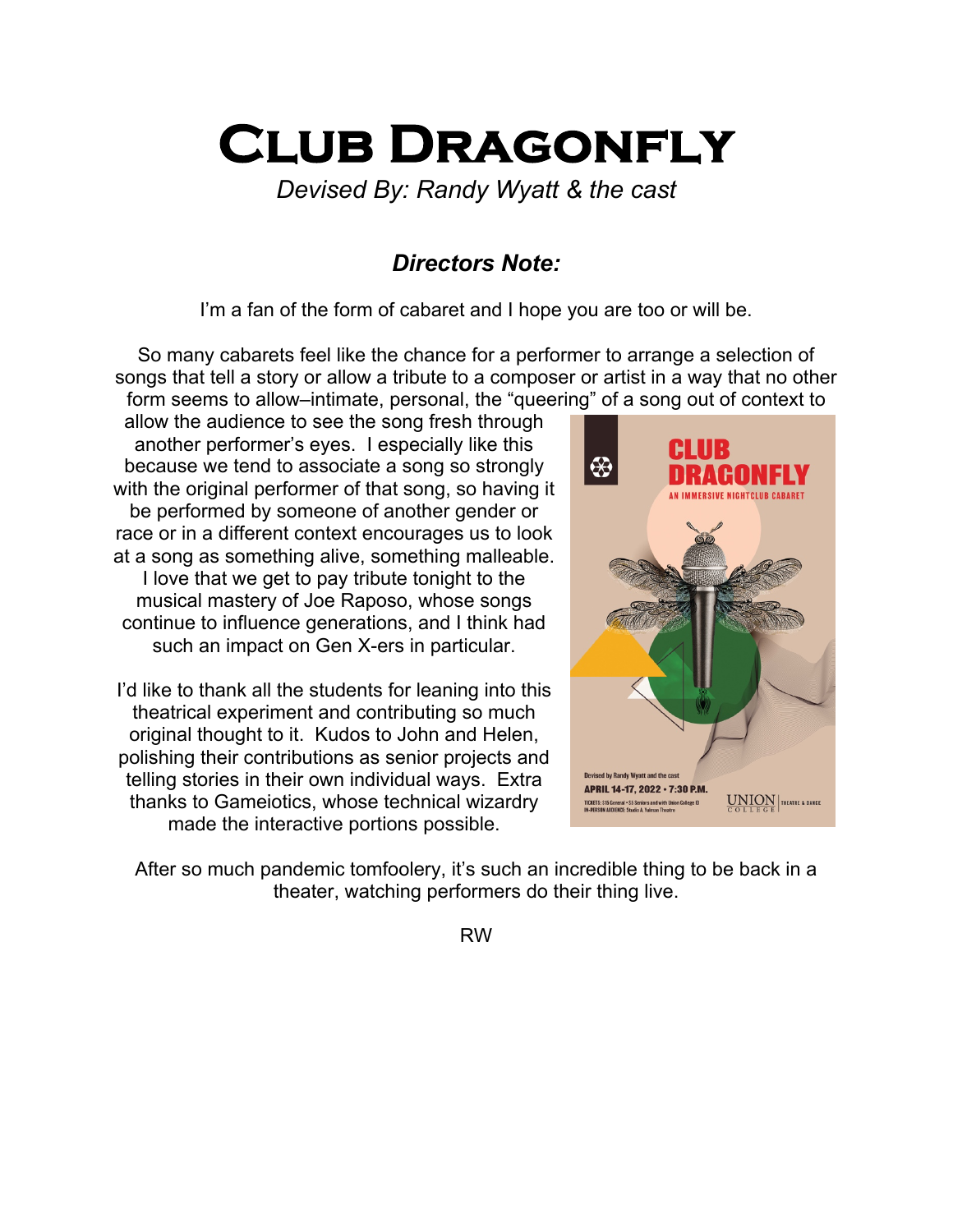# **Club Dragonfly**

*Devised By: Randy Wyatt & the cast* 

#### *Directors Note:*

I'm a fan of the form of cabaret and I hope you are too or will be.

So many cabarets feel like the chance for a performer to arrange a selection of songs that tell a story or allow a tribute to a composer or artist in a way that no other form seems to allow–intimate, personal, the "queering" of a song out of context to

allow the audience to see the song fresh through another performer's eyes. I especially like this because we tend to associate a song so strongly with the original performer of that song, so having it be performed by someone of another gender or race or in a different context encourages us to look at a song as something alive, something malleable. I love that we get to pay tribute tonight to the musical mastery of Joe Raposo, whose songs continue to influence generations, and I think had such an impact on Gen X-ers in particular.

I'd like to thank all the students for leaning into this theatrical experiment and contributing so much original thought to it. Kudos to John and Helen, polishing their contributions as senior projects and telling stories in their own individual ways. Extra thanks to Gameiotics, whose technical wizardry made the interactive portions possible.



After so much pandemic tomfoolery, it's such an incredible thing to be back in a theater, watching performers do their thing live.

RW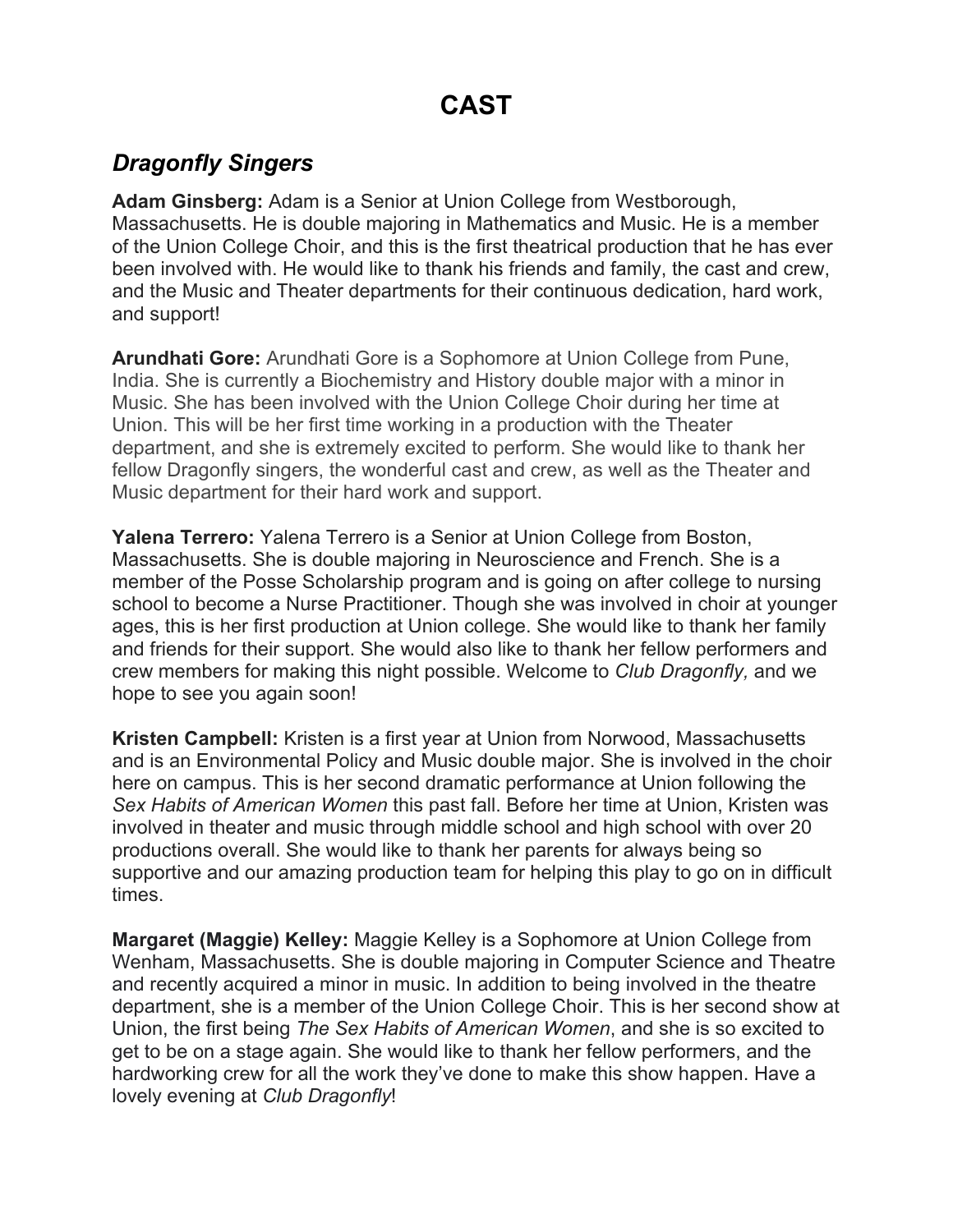# **CAST**

#### *Dragonfly Singers*

**Adam Ginsberg:** Adam is a Senior at Union College from Westborough, Massachusetts. He is double majoring in Mathematics and Music. He is a member of the Union College Choir, and this is the first theatrical production that he has ever been involved with. He would like to thank his friends and family, the cast and crew, and the Music and Theater departments for their continuous dedication, hard work, and support!

**Arundhati Gore:** Arundhati Gore is a Sophomore at Union College from Pune, India. She is currently a Biochemistry and History double major with a minor in Music. She has been involved with the Union College Choir during her time at Union. This will be her first time working in a production with the Theater department, and she is extremely excited to perform. She would like to thank her fellow Dragonfly singers, the wonderful cast and crew, as well as the Theater and Music department for their hard work and support.

**Yalena Terrero:** Yalena Terrero is a Senior at Union College from Boston, Massachusetts. She is double majoring in Neuroscience and French. She is a member of the Posse Scholarship program and is going on after college to nursing school to become a Nurse Practitioner. Though she was involved in choir at younger ages, this is her first production at Union college. She would like to thank her family and friends for their support. She would also like to thank her fellow performers and crew members for making this night possible. Welcome to *Club Dragonfly,* and we hope to see you again soon!

**Kristen Campbell:** Kristen is a first year at Union from Norwood, Massachusetts and is an Environmental Policy and Music double major. She is involved in the choir here on campus. This is her second dramatic performance at Union following the *Sex Habits of American Women* this past fall. Before her time at Union, Kristen was involved in theater and music through middle school and high school with over 20 productions overall. She would like to thank her parents for always being so supportive and our amazing production team for helping this play to go on in difficult times.

**Margaret (Maggie) Kelley:** Maggie Kelley is a Sophomore at Union College from Wenham, Massachusetts. She is double majoring in Computer Science and Theatre and recently acquired a minor in music. In addition to being involved in the theatre department, she is a member of the Union College Choir. This is her second show at Union, the first being *The Sex Habits of American Women*, and she is so excited to get to be on a stage again. She would like to thank her fellow performers, and the hardworking crew for all the work they've done to make this show happen. Have a lovely evening at *Club Dragonfly*!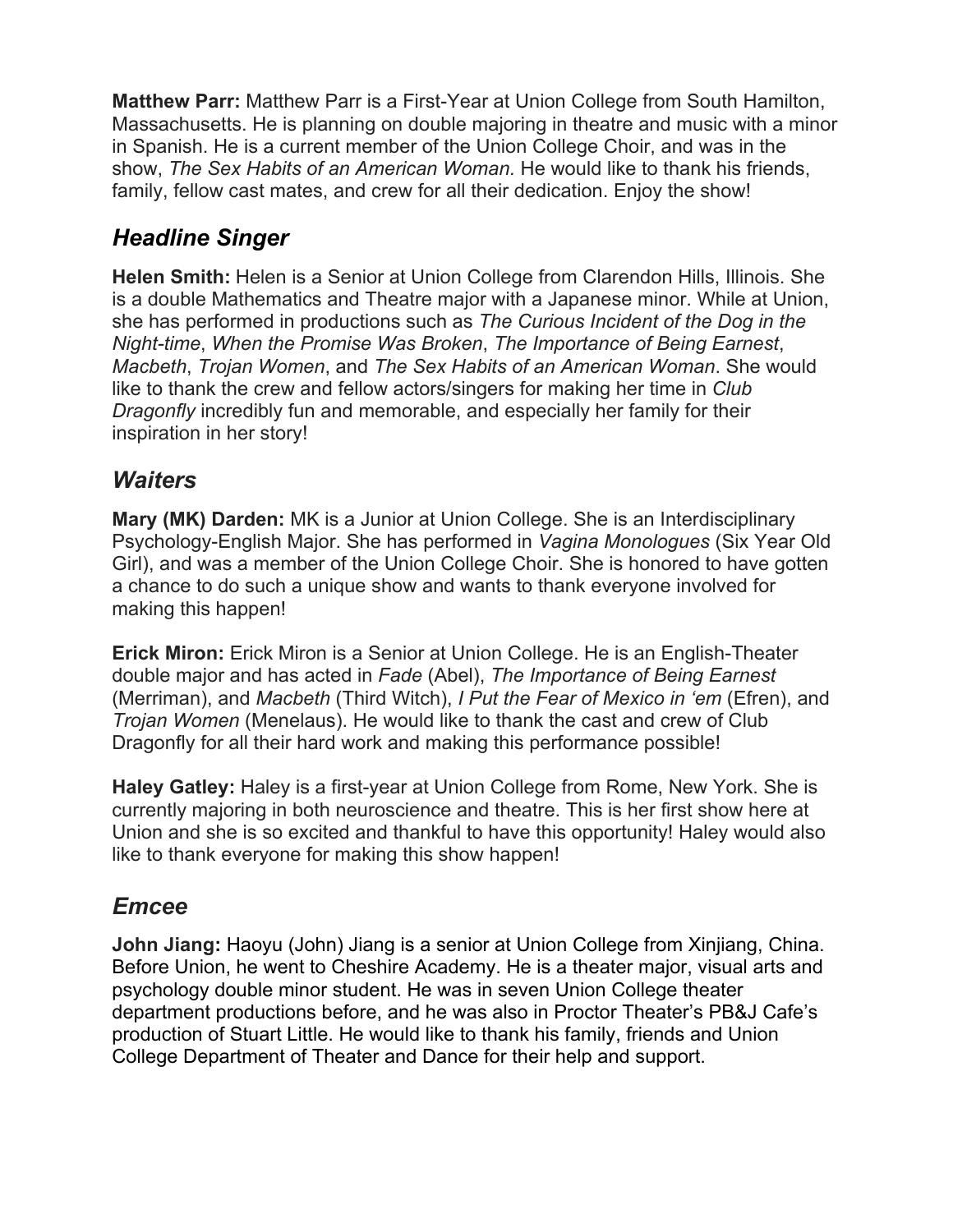**Matthew Parr:** Matthew Parr is a First-Year at Union College from South Hamilton, Massachusetts. He is planning on double majoring in theatre and music with a minor in Spanish. He is a current member of the Union College Choir, and was in the show, *The Sex Habits of an American Woman.* He would like to thank his friends, family, fellow cast mates, and crew for all their dedication. Enjoy the show!

## *Headline Singer*

**Helen Smith:** Helen is a Senior at Union College from Clarendon Hills, Illinois. She is a double Mathematics and Theatre major with a Japanese minor. While at Union, she has performed in productions such as *The Curious Incident of the Dog in the Night-time*, *When the Promise Was Broken*, *The Importance of Being Earnest*, *Macbeth*, *Trojan Women*, and *The Sex Habits of an American Woman*. She would like to thank the crew and fellow actors/singers for making her time in *Club Dragonfly* incredibly fun and memorable, and especially her family for their inspiration in her story!

#### *Waiters*

**Mary (MK) Darden:** MK is a Junior at Union College. She is an Interdisciplinary Psychology-English Major. She has performed in *Vagina Monologues* (Six Year Old Girl), and was a member of the Union College Choir. She is honored to have gotten a chance to do such a unique show and wants to thank everyone involved for making this happen!

**Erick Miron:** Erick Miron is a Senior at Union College. He is an English-Theater double major and has acted in *Fade* (Abel), *The Importance of Being Earnest* (Merriman), and *Macbeth* (Third Witch), *I Put the Fear of Mexico in 'em* (Efren), and *Trojan Women* (Menelaus). He would like to thank the cast and crew of Club Dragonfly for all their hard work and making this performance possible!

**Haley Gatley:** Haley is a first-year at Union College from Rome, New York. She is currently majoring in both neuroscience and theatre. This is her first show here at Union and she is so excited and thankful to have this opportunity! Haley would also like to thank everyone for making this show happen!

#### *Emcee*

**John Jiang:** Haoyu (John) Jiang is a senior at Union College from Xinjiang, China. Before Union, he went to Cheshire Academy. He is a theater major, visual arts and psychology double minor student. He was in seven Union College theater department productions before, and he was also in Proctor Theater's PB&J Cafe's production of Stuart Little. He would like to thank his family, friends and Union College Department of Theater and Dance for their help and support.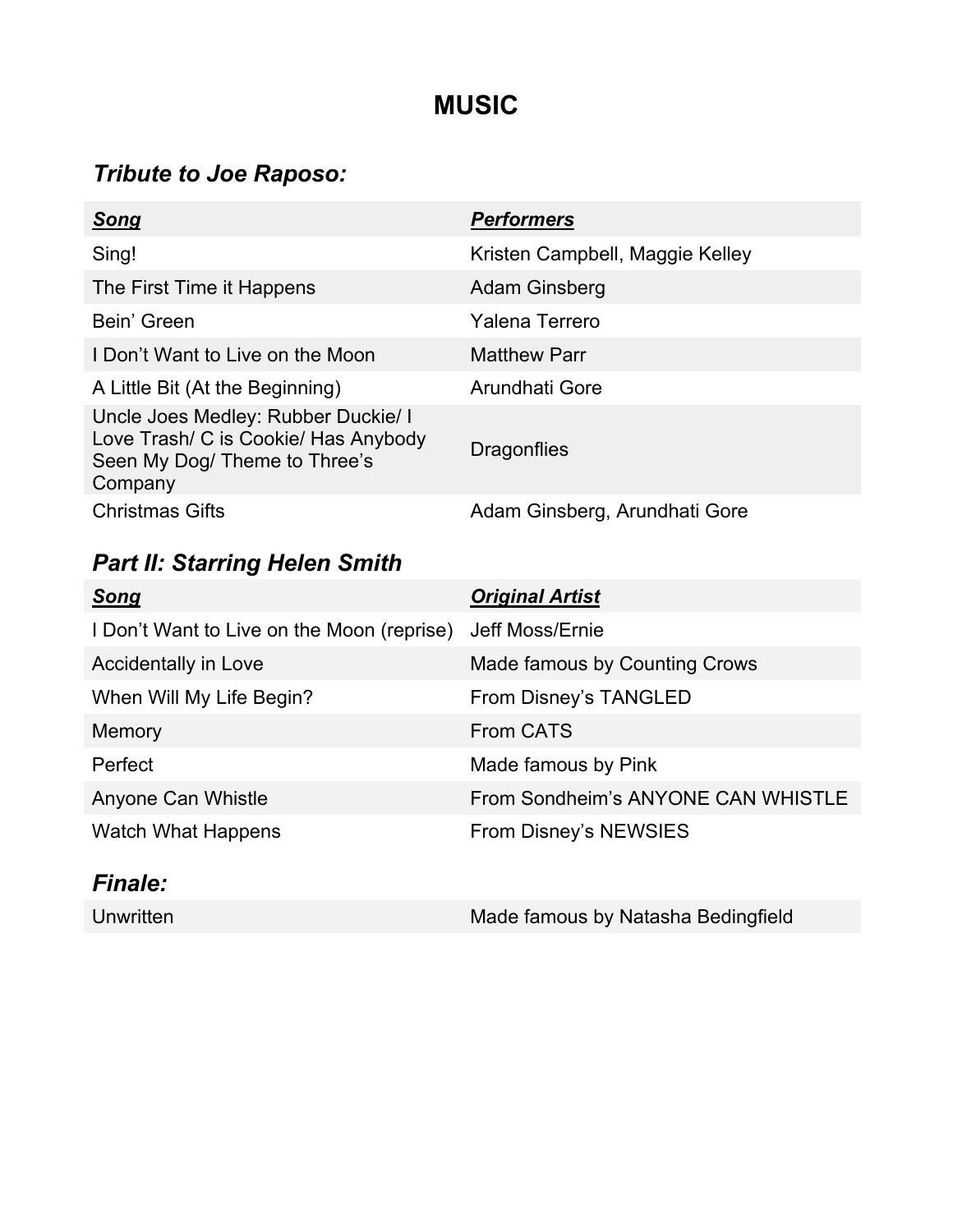# **MUSIC**

## *Tribute to Joe Raposo:*

| <u>Song</u>                                                                                                             | <b>Performers</b>               |
|-------------------------------------------------------------------------------------------------------------------------|---------------------------------|
| Sing!                                                                                                                   | Kristen Campbell, Maggie Kelley |
| The First Time it Happens                                                                                               | Adam Ginsberg                   |
| Bein' Green                                                                                                             | Yalena Terrero                  |
| I Don't Want to Live on the Moon                                                                                        | <b>Matthew Parr</b>             |
| A Little Bit (At the Beginning)                                                                                         | Arundhati Gore                  |
| Uncle Joes Medley: Rubber Duckie/ I<br>Love Trash/ C is Cookie/ Has Anybody<br>Seen My Dog/ Theme to Three's<br>Company | <b>Dragonflies</b>              |
| <b>Christmas Gifts</b>                                                                                                  | Adam Ginsberg, Arundhati Gore   |

## *Part II: Starring Helen Smith*

| Song                                       | <b>Original Artist</b>             |
|--------------------------------------------|------------------------------------|
| I Don't Want to Live on the Moon (reprise) | Jeff Moss/Ernie                    |
| <b>Accidentally in Love</b>                | Made famous by Counting Crows      |
| When Will My Life Begin?                   | From Disney's TANGLED              |
| Memory                                     | <b>From CATS</b>                   |
| Perfect                                    | Made famous by Pink                |
| Anyone Can Whistle                         | From Sondheim's ANYONE CAN WHISTLE |
| <b>Watch What Happens</b>                  | From Disney's NEWSIES              |
|                                            |                                    |

#### *Finale:*

Unwritten Made famous by Natasha Bedingfield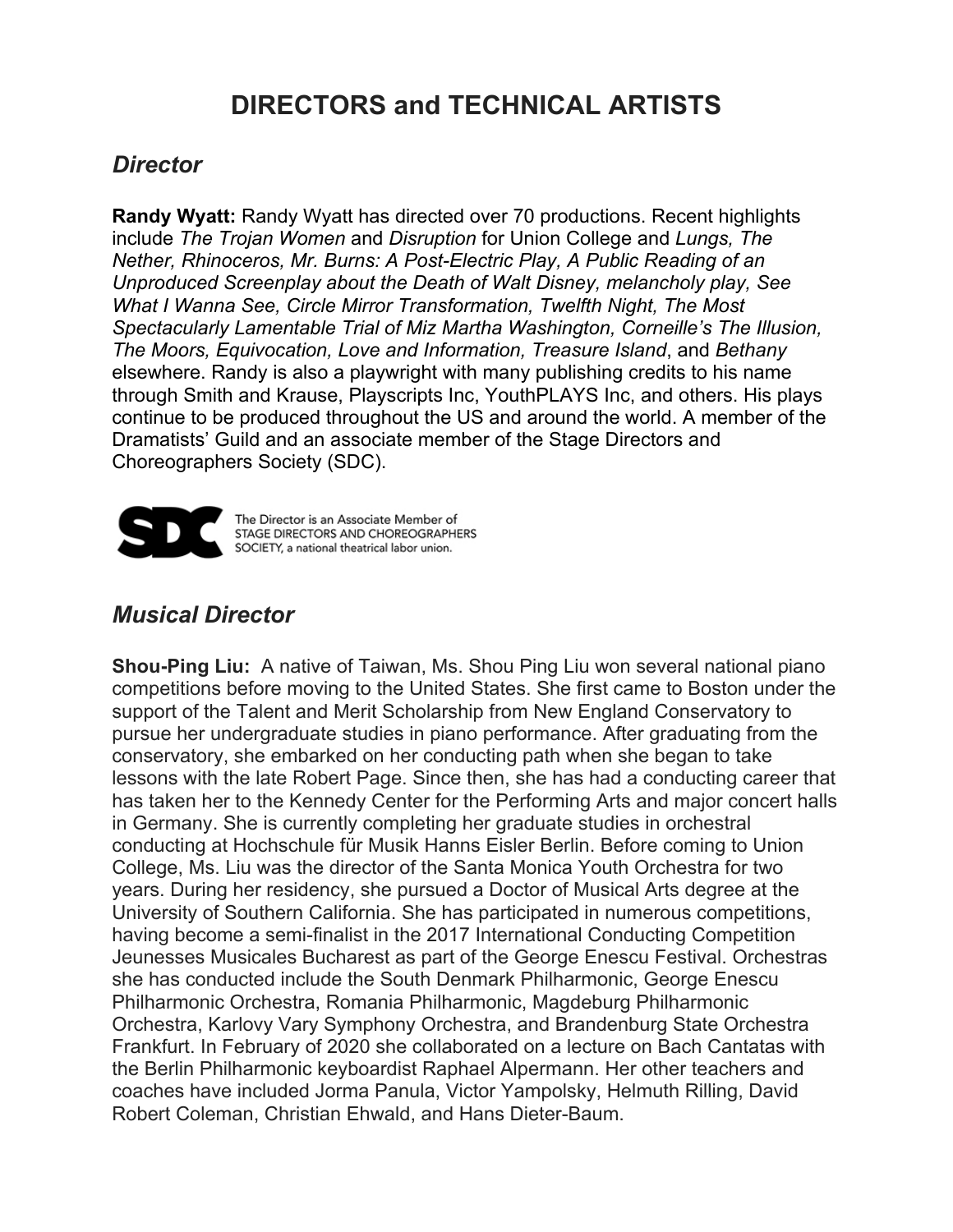# **DIRECTORS and TECHNICAL ARTISTS**

#### *Director*

**Randy Wyatt:** Randy Wyatt has directed over 70 productions. Recent highlights include *The Trojan Women* and *Disruption* for Union College and *Lungs, The Nether, Rhinoceros, Mr. Burns: A Post-Electric Play, A Public Reading of an Unproduced Screenplay about the Death of Walt Disney, melancholy play, See What I Wanna See, Circle Mirror Transformation, Twelfth Night, The Most Spectacularly Lamentable Trial of Miz Martha Washington, Corneille's The Illusion, The Moors, Equivocation, Love and Information, Treasure Island*, and *Bethany* elsewhere. Randy is also a playwright with many publishing credits to his name through Smith and Krause, Playscripts Inc, YouthPLAYS Inc, and others. His plays continue to be produced throughout the US and around the world. A member of the Dramatists' Guild and an associate member of the Stage Directors and Choreographers Society (SDC).



The Director is an Associate Member of STAGE DIRECTORS AND CHOREOGRAPHERS SOCIETY, a national theatrical labor union.

### *Musical Director*

**Shou-Ping Liu:** A native of Taiwan, Ms. Shou Ping Liu won several national piano competitions before moving to the United States. She first came to Boston under the support of the Talent and Merit Scholarship from New England Conservatory to pursue her undergraduate studies in piano performance. After graduating from the conservatory, she embarked on her conducting path when she began to take lessons with the late Robert Page. Since then, she has had a conducting career that has taken her to the Kennedy Center for the Performing Arts and major concert halls in Germany. She is currently completing her graduate studies in orchestral conducting at Hochschule für Musik Hanns Eisler Berlin. Before coming to Union College, Ms. Liu was the director of the Santa Monica Youth Orchestra for two years. During her residency, she pursued a Doctor of Musical Arts degree at the University of Southern California. She has participated in numerous competitions, having become a semi-finalist in the 2017 International Conducting Competition Jeunesses Musicales Bucharest as part of the George Enescu Festival. Orchestras she has conducted include the South Denmark Philharmonic, George Enescu Philharmonic Orchestra, Romania Philharmonic, Magdeburg Philharmonic Orchestra, Karlovy Vary Symphony Orchestra, and Brandenburg State Orchestra Frankfurt. In February of 2020 she collaborated on a lecture on Bach Cantatas with the Berlin Philharmonic keyboardist Raphael Alpermann. Her other teachers and coaches have included Jorma Panula, Victor Yampolsky, Helmuth Rilling, David Robert Coleman, Christian Ehwald, and Hans Dieter-Baum.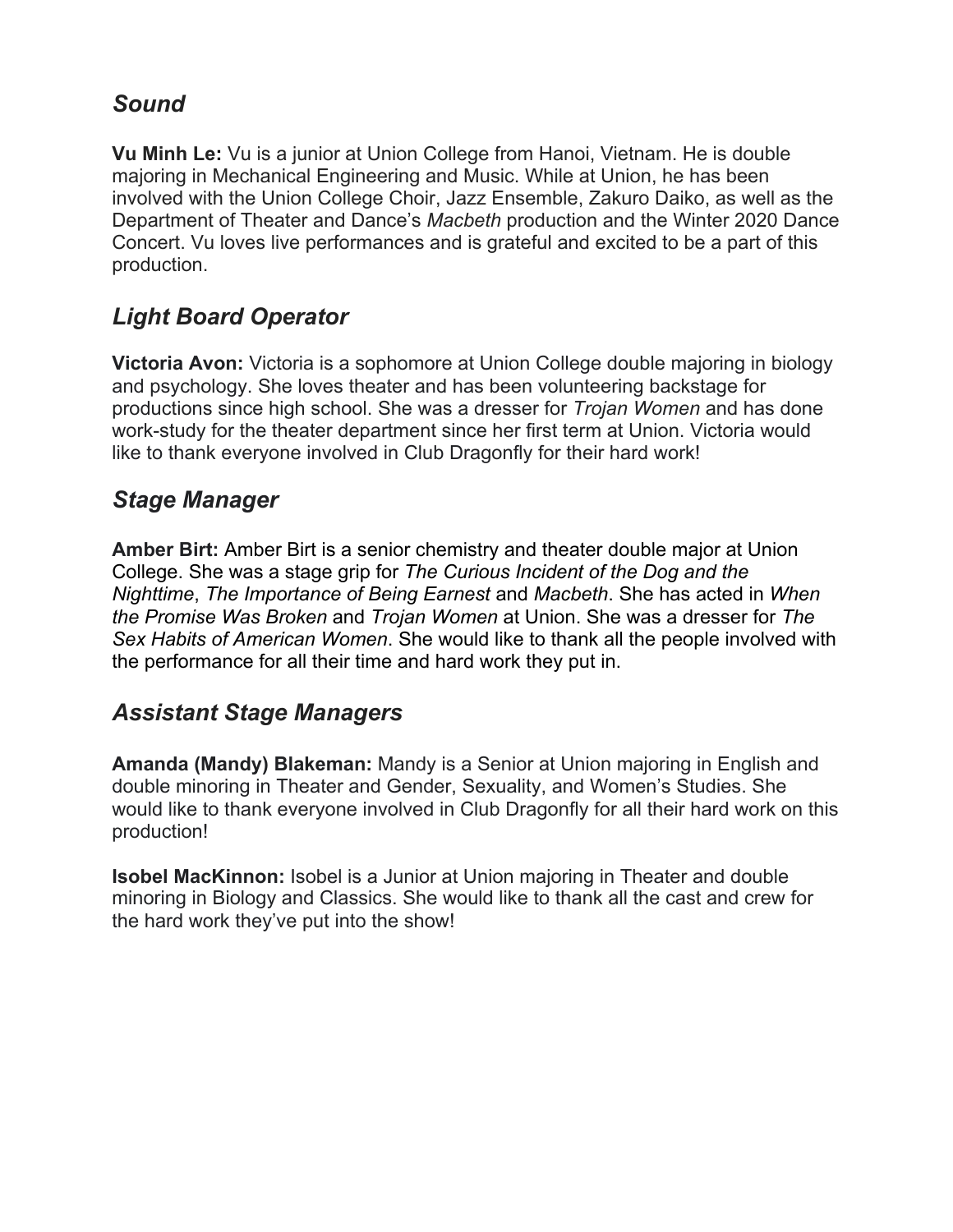#### *Sound*

**Vu Minh Le:** Vu is a junior at Union College from Hanoi, Vietnam. He is double majoring in Mechanical Engineering and Music. While at Union, he has been involved with the Union College Choir, Jazz Ensemble, Zakuro Daiko, as well as the Department of Theater and Dance's *Macbeth* production and the Winter 2020 Dance Concert. Vu loves live performances and is grateful and excited to be a part of this production.

## *Light Board Operator*

**Victoria Avon:** Victoria is a sophomore at Union College double majoring in biology and psychology. She loves theater and has been volunteering backstage for productions since high school. She was a dresser for *Trojan Women* and has done work-study for the theater department since her first term at Union. Victoria would like to thank everyone involved in Club Dragonfly for their hard work!

#### *Stage Manager*

**Amber Birt:** Amber Birt is a senior chemistry and theater double major at Union College. She was a stage grip for *The Curious Incident of the Dog and the Nighttime*, *The Importance of Being Earnest* and *Macbeth*. She has acted in *When the Promise Was Broken* and *Trojan Women* at Union. She was a dresser for *The Sex Habits of American Women*. She would like to thank all the people involved with the performance for all their time and hard work they put in.

## *Assistant Stage Managers*

**Amanda (Mandy) Blakeman:** Mandy is a Senior at Union majoring in English and double minoring in Theater and Gender, Sexuality, and Women's Studies. She would like to thank everyone involved in Club Dragonfly for all their hard work on this production!

**Isobel MacKinnon:** Isobel is a Junior at Union majoring in Theater and double minoring in Biology and Classics. She would like to thank all the cast and crew for the hard work they've put into the show!